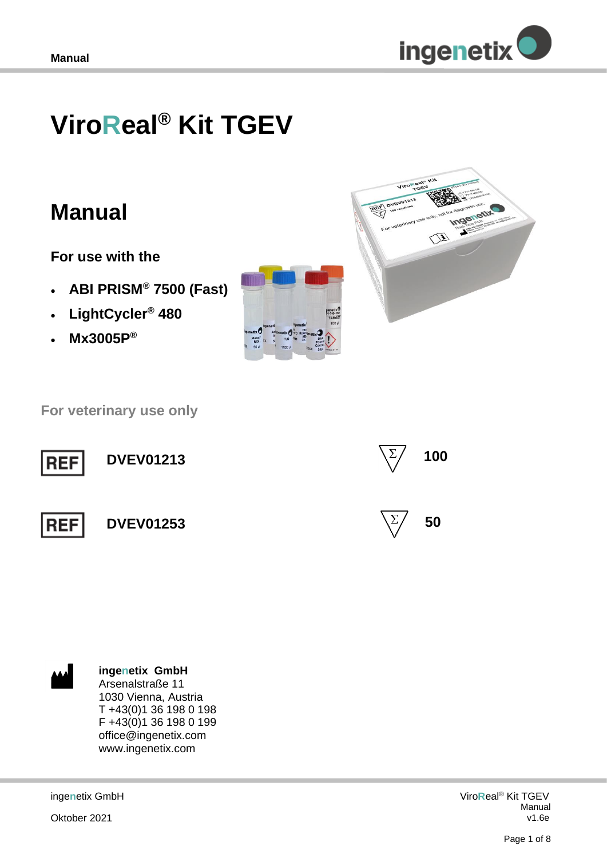

# **ViroReal® Kit TGEV**

## **Manual**

**For use with the** 

- **ABI PRISM® 7500 (Fast)**
- **LightCycler® 480**
- **Mx3005P®**





 **For veterinary use only**





**ingenetix GmbH** Arsenalstraße 11 1030 Vienna, Austria T +43(0)1 36 198 0 198 F +43(0)1 36 198 0 199 office@ingenetix.com www.ingenetix.com

inge**n**etix GmbH

Oktober 2021

Viro**R**eal® Kit TGEV Manual v1.6e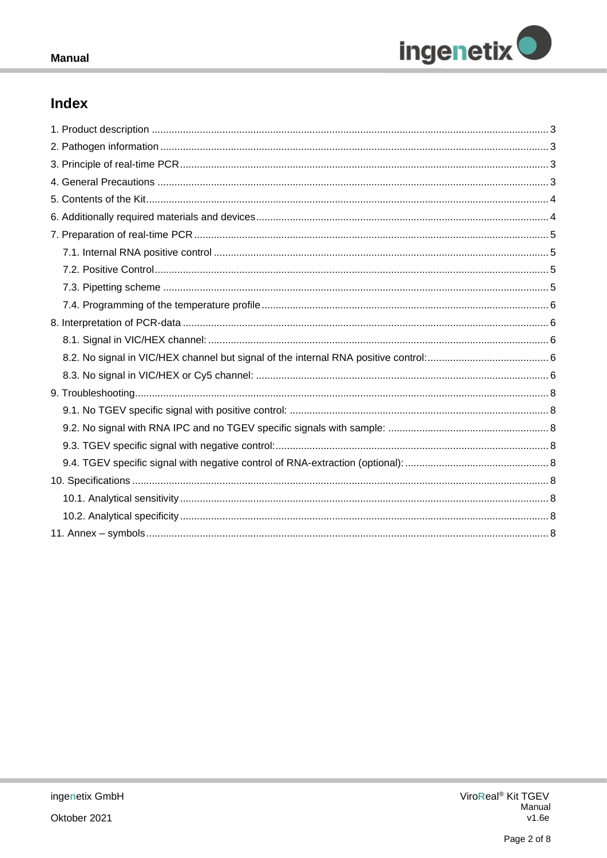

## **Index**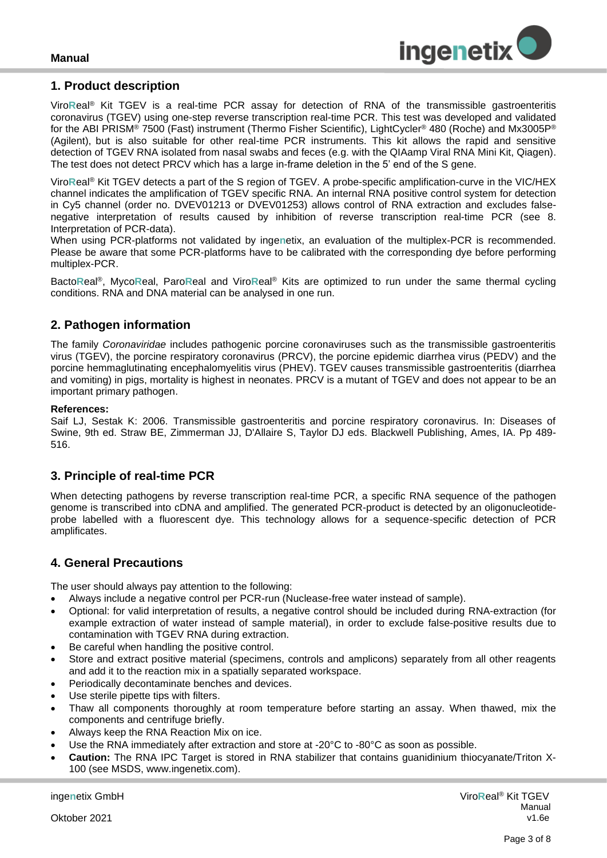

#### <span id="page-2-0"></span>**1. Product description**

Viro**R**eal® Kit TGEV is a real-time PCR assay for detection of RNA of the transmissible gastroenteritis coronavirus (TGEV) using one-step reverse transcription real-time PCR. This test was developed and validated for the ABI PRISM® 7500 (Fast) instrument (Thermo Fisher Scientific), LightCycler® 480 (Roche) and Mx3005P® (Agilent), but is also suitable for other real-time PCR instruments. This kit allows the rapid and sensitive detection of TGEV RNA isolated from nasal swabs and feces (e.g. with the QIAamp Viral RNA Mini Kit, Qiagen). The test does not detect PRCV which has a large in-frame deletion in the 5' end of the S gene.

Viro**R**eal® Kit TGEV detects a part of the S region of TGEV. A probe-specific amplification-curve in the VIC/HEX channel indicates the amplification of TGEV specific RNA. An internal RNA positive control system for detection in Cy5 channel (order no. DVEV01213 or DVEV01253) allows control of RNA extraction and excludes falsenegative interpretation of results caused by inhibition of reverse transcription real-time PCR (see 8. Interpretation of PCR-data).

When using PCR-platforms not validated by inge**n**etix, an evaluation of the multiplex-PCR is recommended. Please be aware that some PCR-platforms have to be calibrated with the corresponding dye before performing multiplex-PCR.

Bacto**R**eal®, Myco**R**eal, Paro**R**eal and Viro**R**eal® Kits are optimized to run under the same thermal cycling conditions. RNA and DNA material can be analysed in one run.

## <span id="page-2-1"></span>**2. Pathogen information**

The family *Coronaviridae* includes pathogenic porcine coronaviruses such as the transmissible gastroenteritis virus (TGEV), the porcine respiratory coronavirus (PRCV), the porcine epidemic diarrhea virus (PEDV) and the porcine hemmaglutinating encephalomyelitis virus (PHEV). TGEV causes transmissible gastroenteritis (diarrhea and vomiting) in pigs, mortality is highest in neonates. PRCV is a mutant of TGEV and does not appear to be an important primary pathogen.

#### **References:**

Saif LJ, Sestak K: 2006. Transmissible gastroenteritis and porcine respiratory coronavirus. In: Diseases of Swine, 9th ed. Straw BE, Zimmerman JJ, D'Allaire S, Taylor DJ eds. Blackwell Publishing, Ames, IA. Pp 489- 516.

## <span id="page-2-2"></span>**3. Principle of real-time PCR**

When detecting pathogens by reverse transcription real-time PCR, a specific RNA sequence of the pathogen genome is transcribed into cDNA and amplified. The generated PCR-product is detected by an oligonucleotideprobe labelled with a fluorescent dye. This technology allows for a sequence-specific detection of PCR amplificates.

## <span id="page-2-3"></span>**4. General Precautions**

The user should always pay attention to the following:

- Always include a negative control per PCR-run (Nuclease-free water instead of sample).
- Optional: for valid interpretation of results, a negative control should be included during RNA-extraction (for example extraction of water instead of sample material), in order to exclude false-positive results due to contamination with TGEV RNA during extraction.
- Be careful when handling the positive control.
- Store and extract positive material (specimens, controls and amplicons) separately from all other reagents and add it to the reaction mix in a spatially separated workspace.
- Periodically decontaminate benches and devices.
- Use sterile pipette tips with filters.
- Thaw all components thoroughly at room temperature before starting an assay. When thawed, mix the components and centrifuge briefly.
- Always keep the RNA Reaction Mix on ice.
- Use the RNA immediately after extraction and store at -20°C to -80°C as soon as possible.
- **Caution:** The RNA IPC Target is stored in RNA stabilizer that contains guanidinium thiocyanate/Triton X-100 (see MSDS, www.ingenetix.com).

inge**n**etix GmbH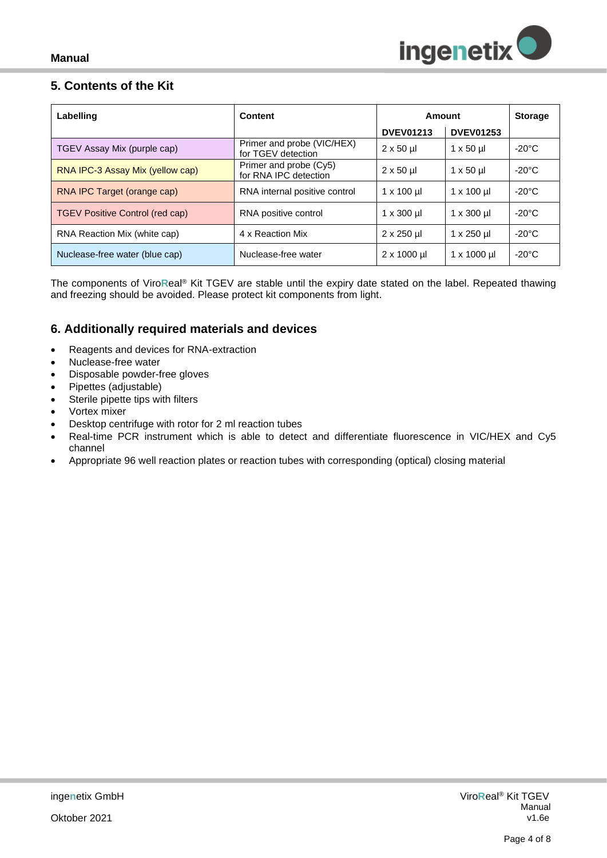

## <span id="page-3-0"></span>**5. Contents of the Kit**

| Labelling                        | Content                                          | Amount             |                       | <b>Storage</b>  |
|----------------------------------|--------------------------------------------------|--------------------|-----------------------|-----------------|
|                                  |                                                  | <b>DVEV01213</b>   | <b>DVEV01253</b>      |                 |
| TGEV Assay Mix (purple cap)      | Primer and probe (VIC/HEX)<br>for TGEV detection | $2 \times 50$ µ    | $1 \times 50$ µ       | $-20^{\circ}$ C |
| RNA IPC-3 Assay Mix (yellow cap) | Primer and probe (Cy5)<br>for RNA IPC detection  | $2 \times 50$ µ    | $1 \times 50 \mu$     | $-20^{\circ}$ C |
| RNA IPC Target (orange cap)      | RNA internal positive control                    | $1 \times 100$ ul  | $1 \times 100$ ul     | $-20^{\circ}$ C |
| TGEV Positive Control (red cap)  | RNA positive control                             | $1 \times 300$ µ   | $1 \times 300$ ul     | $-20^{\circ}$ C |
| RNA Reaction Mix (white cap)     | 4 x Reaction Mix                                 | $2 \times 250$ µl  | $1 \times 250$ µl     | $-20^{\circ}$ C |
| Nuclease-free water (blue cap)   | Nuclease-free water                              | $2 \times 1000$ µl | $1 \times 1000 \,\mu$ | $-20^{\circ}$ C |

The components of Viro**R**eal® Kit TGEV are stable until the expiry date stated on the label. Repeated thawing and freezing should be avoided. Please protect kit components from light.

## <span id="page-3-1"></span>**6. Additionally required materials and devices**

- Reagents and devices for RNA-extraction
- Nuclease-free water
- Disposable powder-free gloves
- Pipettes (adjustable)
- Sterile pipette tips with filters
- Vortex mixer
- Desktop centrifuge with rotor for 2 ml reaction tubes
- Real-time PCR instrument which is able to detect and differentiate fluorescence in VIC/HEX and Cy5 channel
- Appropriate 96 well reaction plates or reaction tubes with corresponding (optical) closing material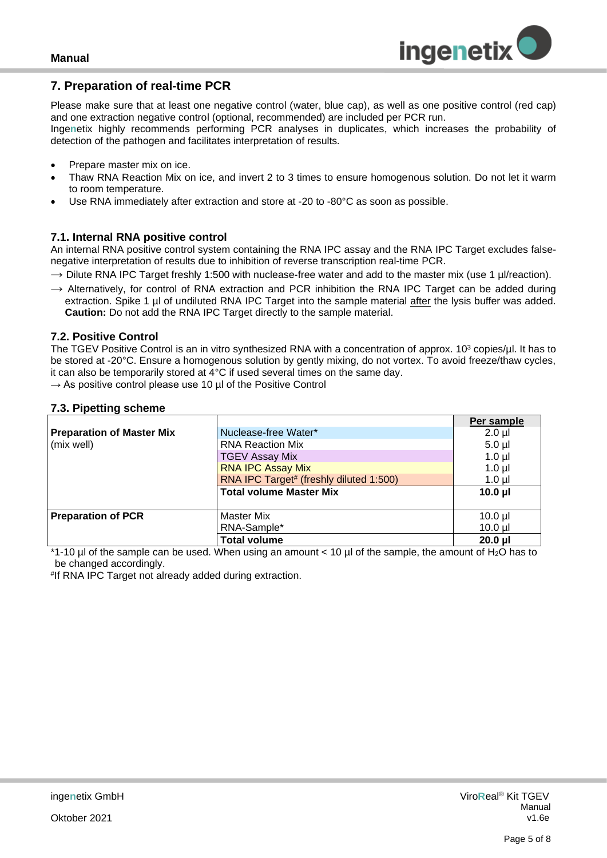## <span id="page-4-0"></span>**7. Preparation of real-time PCR**

Please make sure that at least one negative control (water, blue cap), as well as one positive control (red cap) and one extraction negative control (optional, recommended) are included per PCR run.

Inge**n**etix highly recommends performing PCR analyses in duplicates, which increases the probability of detection of the pathogen and facilitates interpretation of results*.*

- Prepare master mix on ice.
- Thaw RNA Reaction Mix on ice, and invert 2 to 3 times to ensure homogenous solution. Do not let it warm to room temperature.
- Use RNA immediately after extraction and store at -20 to -80°C as soon as possible.

#### <span id="page-4-1"></span>**7.1. Internal RNA positive control**

An internal RNA positive control system containing the RNA IPC assay and the RNA IPC Target excludes falsenegative interpretation of results due to inhibition of reverse transcription real-time PCR.

- $\rightarrow$  Dilute RNA IPC Target freshly 1:500 with nuclease-free water and add to the master mix (use 1 µl/reaction).
- $\rightarrow$  Alternatively, for control of RNA extraction and PCR inhibition the RNA IPC Target can be added during extraction. Spike 1 µl of undiluted RNA IPC Target into the sample material after the lysis buffer was added. **Caution:** Do not add the RNA IPC Target directly to the sample material.

#### <span id="page-4-2"></span>**7.2. Positive Control**

The TGEV Positive Control is an in vitro synthesized RNA with a concentration of approx. 10<sup>3</sup> copies/µl. It has to be stored at -20°C. Ensure a homogenous solution by gently mixing, do not vortex. To avoid freeze/thaw cycles, it can also be temporarily stored at 4°C if used several times on the same day.

 $\rightarrow$  As positive control please use 10 µl of the Positive Control

#### <span id="page-4-3"></span>**7.3. Pipetting scheme**

|                                  |                                         | Per sample   |
|----------------------------------|-----------------------------------------|--------------|
| <b>Preparation of Master Mix</b> | Nuclease-free Water*                    | $2.0$ µl     |
| (mix well)                       | <b>RNA Reaction Mix</b>                 | $5.0 \mu$    |
|                                  | <b>TGEV Assay Mix</b>                   | $1.0 \mu$    |
|                                  | <b>RNA IPC Assay Mix</b>                | $1.0$ µl     |
|                                  | RNA IPC Target# (freshly diluted 1:500) | $1.0 \mu$    |
|                                  | <b>Total volume Master Mix</b>          | 10.0 $\mu$   |
|                                  |                                         |              |
| <b>Preparation of PCR</b>        | <b>Master Mix</b>                       | $10.0$ µl    |
|                                  | RNA-Sample*                             | $10.0$ µl    |
|                                  | <b>Total volume</b>                     | $20.0$ $\mu$ |

\*1-10 µl of the sample can be used. When using an amount < 10 µl of the sample, the amount of H2O has to be changed accordingly.

# If RNA IPC Target not already added during extraction.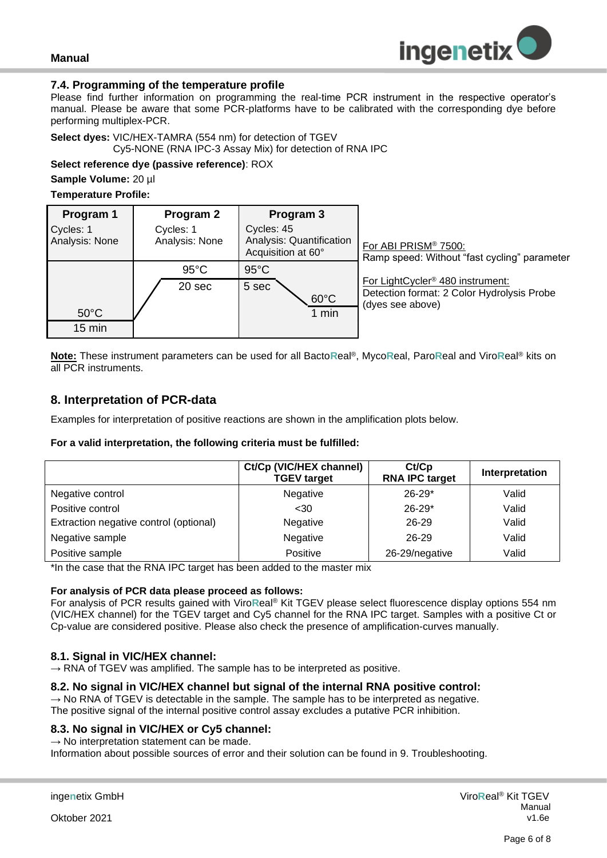

#### <span id="page-5-0"></span>**7.4. Programming of the temperature profile**

Please find further information on programming the real-time PCR instrument in the respective operator's manual. Please be aware that some PCR-platforms have to be calibrated with the corresponding dye before performing multiplex-PCR.

**Select dyes:** VIC/HEX-TAMRA (554 nm) for detection of TGEV

Cy5-NONE (RNA IPC-3 Assay Mix) for detection of RNA IPC

**Select reference dye (passive reference)**: ROX

**Sample Volume:** 20 µl

#### **Temperature Profile:**

| Program 1<br>Cycles: 1<br>Analysis: None | Program 2<br>Cycles: 1<br>Analysis: None | Program 3<br>Cycles: 45<br>Analysis: Quantification<br>Acquisition at 60° | For ABI PRISM® 7500:<br>Ramp speed: Without "fast cycling" parameter                                           |
|------------------------------------------|------------------------------------------|---------------------------------------------------------------------------|----------------------------------------------------------------------------------------------------------------|
| $50^{\circ}$ C<br>$15 \text{ min}$       | $95^{\circ}$ C<br>20 sec                 | $95^{\circ}$ C<br>5 sec<br>$60^{\circ}$ C<br>1 min                        | For LightCycler <sup>®</sup> 480 instrument:<br>Detection format: 2 Color Hydrolysis Probe<br>(dyes see above) |

**Note:** These instrument parameters can be used for all Bacto**R**eal®, Myco**R**eal, Paro**R**eal and Viro**R**eal® kits on all PCR instruments.

## <span id="page-5-1"></span>**8. Interpretation of PCR-data**

Examples for interpretation of positive reactions are shown in the amplification plots below.

#### **For a valid interpretation, the following criteria must be fulfilled:**

|                                        | Ct/Cp (VIC/HEX channel)<br><b>TGEV target</b> | Ct/Cp<br><b>RNA IPC target</b> | Interpretation |
|----------------------------------------|-----------------------------------------------|--------------------------------|----------------|
| Negative control                       | Negative                                      | $26 - 29*$                     | Valid          |
| Positive control                       | $30$                                          | $26 - 29*$                     | Valid          |
| Extraction negative control (optional) | Negative                                      | $26 - 29$                      | Valid          |
| Negative sample                        | Negative                                      | 26-29                          | Valid          |
| Positive sample                        | Positive                                      | 26-29/negative                 | Valid          |

\*In the case that the RNA IPC target has been added to the master mix

#### **For analysis of PCR data please proceed as follows:**

For analysis of PCR results gained with Viro**R**eal® Kit TGEV please select fluorescence display options 554 nm (VIC/HEX channel) for the TGEV target and Cy5 channel for the RNA IPC target. Samples with a positive Ct or Cp-value are considered positive. Please also check the presence of amplification-curves manually.

#### <span id="page-5-2"></span>**8.1. Signal in VIC/HEX channel:**

 $\rightarrow$  RNA of TGEV was amplified. The sample has to be interpreted as positive.

#### <span id="page-5-3"></span>**8.2. No signal in VIC/HEX channel but signal of the internal RNA positive control:**

 $\rightarrow$  No RNA of TGEV is detectable in the sample. The sample has to be interpreted as negative. The positive signal of the internal positive control assay excludes a putative PCR inhibition.

#### <span id="page-5-4"></span>**8.3. No signal in VIC/HEX or Cy5 channel:**

 $\rightarrow$  No interpretation statement can be made.

Information about possible sources of error and their solution can be found in 9. Troubleshooting.

Oktober 2021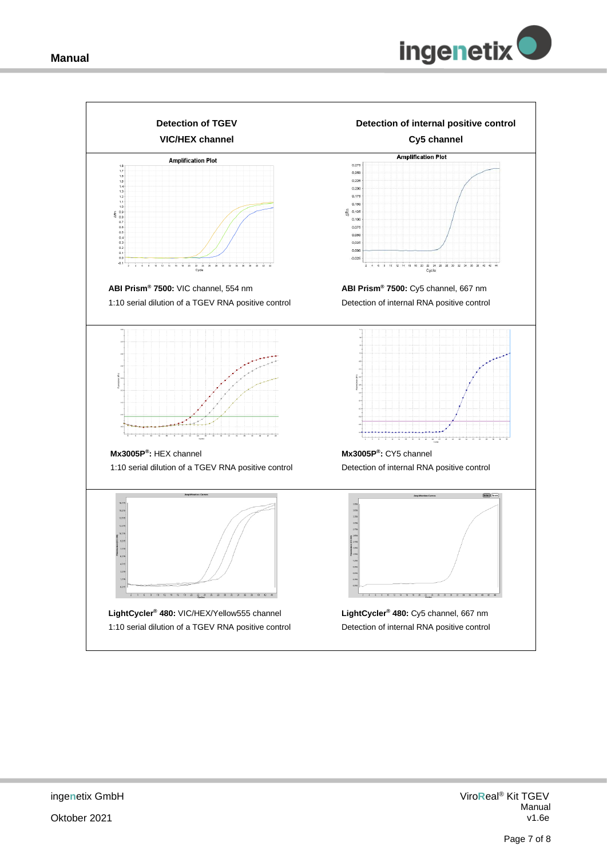